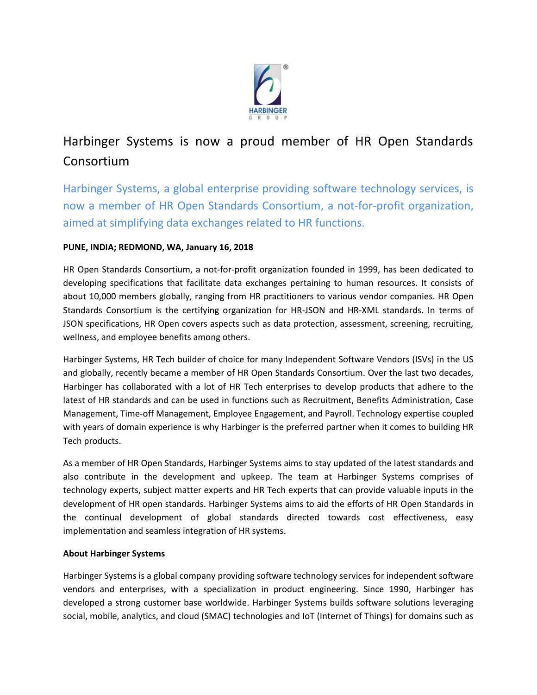

# Harbinger Systems is now a proud member of HR Open Standards Consortium

Harbinger Systems, a global enterprise providing software technology services, is now a member of HR Open Standards Consortium, a not-for-profit organization, aimed at simplifying data exchanges related to HR functions.

## **PUNE, INDIA; REDMOND, WA, January 16, 2018**

HR Open Standards Consortium, a not-for-profit organization founded in 1999, has been dedicated to developing specifications that facilitate data exchanges pertaining to human resources. It consists of about 10,000 members globally, ranging from HR practitioners to various vendor companies. HR Open Standards Consortium is the certifying organization for HR-JSON and HR-XML standards. In terms of JSON specifications, HR Open covers aspects such as data protection, assessment, screening, recruiting, wellness, and employee benefits among others.

Harbinger Systems, HR Tech builder of choice for many Independent Software Vendors (ISVs) in the US and globally, recently became a member of HR Open Standards Consortium. Over the last two decades, Harbinger has collaborated with a lot of HR Tech enterprises to develop products that adhere to the latest of HR standards and can be used in functions such as Recruitment, Benefits Administration, Case Management, Time-off Management, Employee Engagement, and Payroll. Technology expertise coupled with years of domain experience is why Harbinger is the preferred partner when it comes to building HR Tech products.

As a member of HR Open Standards, Harbinger Systems aims to stay updated of the latest standards and also contribute in the development and upkeep. The team at Harbinger Systems comprises of technology experts, subject matter experts and HR Tech experts that can provide valuable inputs in the development of HR open standards. Harbinger Systems aims to aid the efforts of HR Open Standards in the continual development of global standards directed towards cost effectiveness, easy implementation and seamless integration of HR systems.

### **About Harbinger Systems**

Harbinger Systems is a global company providing software technology services for independent software vendors and enterprises, with a specialization in product engineering. Since 1990, Harbinger has developed a strong customer base worldwide. Harbinger Systems builds software solutions leveraging social, mobile, analytics, and cloud (SMAC) technologies and IoT (Internet of Things) for domains such as